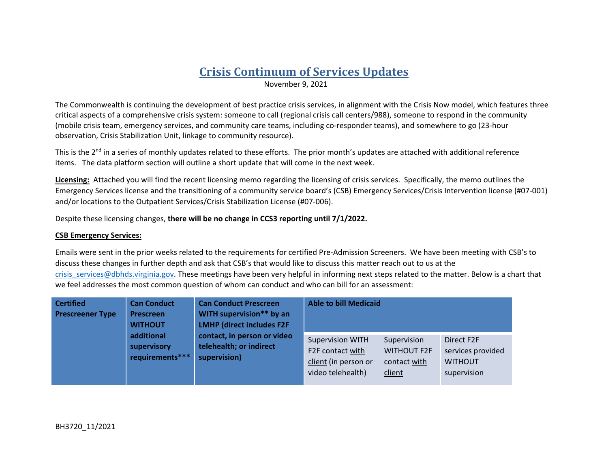# **Crisis Continuum of Services Updates**

November 9, 2021

The Commonwealth is continuing the development of best practice crisis services, in alignment with the Crisis Now model, which features three critical aspects of a comprehensive crisis system: someone to call (regional crisis call centers/988), someone to respond in the community (mobile crisis team, emergency services, and community care teams, including co-responder teams), and somewhere to go (23-hour observation, Crisis Stabilization Unit, linkage to community resource).

This is the 2<sup>nd</sup> in a series of monthly updates related to these efforts. The prior month's updates are attached with additional reference items. The data platform section will outline a short update that will come in the next week.

**Licensing:** Attached you will find the recent licensing memo regarding the licensing of crisis services. Specifically, the memo outlines the Emergency Services license and the transitioning of a community service board's (CSB) Emergency Services/Crisis Intervention license (#07-001) and/or locations to the Outpatient Services/Crisis Stabilization License (#07-006).

Despite these licensing changes, **there will be no change in CCS3 reporting until 7/1/2022.**

## **CSB Emergency Services:**

Emails were sent in the prior weeks related to the requirements for certified Pre-Admission Screeners. We have been meeting with CSB's to discuss these changes in further depth and ask that CSB's that would like to discuss this matter reach out to us at the crisis services@dbhds.virginia.gov. These meetings have been very helpful in informing next steps related to the matter. Below is a chart that we feel addresses the most common question of whom can conduct and who can bill for an assessment:

| <b>Certified</b><br><b>Prescreener Type</b> | <b>Can Conduct</b><br><b>Prescreen</b><br><b>WITHOUT</b> | <b>Can Conduct Prescreen</b><br>WITH supervision** by an<br><b>LMHP (direct includes F2F</b> | <b>Able to bill Medicaid</b>                                                             |                                                             |                                                                  |
|---------------------------------------------|----------------------------------------------------------|----------------------------------------------------------------------------------------------|------------------------------------------------------------------------------------------|-------------------------------------------------------------|------------------------------------------------------------------|
|                                             | additional<br>supervisory<br>requirements***             | contact, in person or video<br>telehealth; or indirect<br>supervision)                       | <b>Supervision WITH</b><br>F2F contact with<br>client (in person or<br>video telehealth) | Supervision<br><b>WITHOUT F2F</b><br>contact with<br>client | Direct F2F<br>services provided<br><b>WITHOUT</b><br>supervision |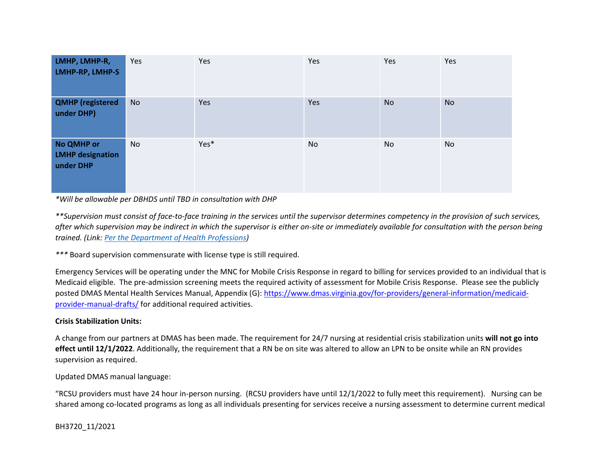| LMHP, LMHP-R,<br>LMHP-RP, LMHP-S                          | Yes       | Yes  | Yes | Yes       | Yes       |
|-----------------------------------------------------------|-----------|------|-----|-----------|-----------|
| <b>QMHP</b> (registered<br>under DHP)                     | <b>No</b> | Yes  | Yes | <b>No</b> | <b>No</b> |
| <b>No QMHP or</b><br><b>LMHP designation</b><br>under DHP | No        | Yes* | No  | <b>No</b> | No        |

*\*Will be allowable per DBHDS until TBD in consultation with DHP*

*\*\*Supervision must consist of face-to-face training in the services until the supervisor determines competency in the provision of such services, after which supervision may be indirect in which the supervisor is either on-site or immediately available for consultation with the person being trained. (Link: [Per the Department of Health Professions\)](https://www.dhp.virginia.gov/counseling/docs/QMHP_FAQ.pdf)*

*\*\*\** Board supervision commensurate with license type is still required.

Emergency Services will be operating under the MNC for Mobile Crisis Response in regard to billing for services provided to an individual that is Medicaid eligible. The pre-admission screening meets the required activity of assessment for Mobile Crisis Response. Please see the publicly posted DMAS Mental Health Services Manual, Appendix (G): [https://www.dmas.virginia.gov/for-providers/general-information/medicaid](https://www.dmas.virginia.gov/for-providers/general-information/medicaid-provider-manual-drafts/)[provider-manual-drafts/](https://www.dmas.virginia.gov/for-providers/general-information/medicaid-provider-manual-drafts/) for additional required activities.

## **Crisis Stabilization Units:**

A change from our partners at DMAS has been made. The requirement for 24/7 nursing at residential crisis stabilization units **will not go into effect until 12/1/2022**. Additionally, the requirement that a RN be on site was altered to allow an LPN to be onsite while an RN provides supervision as required.

Updated DMAS manual language:

"RCSU providers must have 24 hour in-person nursing. (RCSU providers have until 12/1/2022 to fully meet this requirement). Nursing can be shared among co-located programs as long as all individuals presenting for services receive a nursing assessment to determine current medical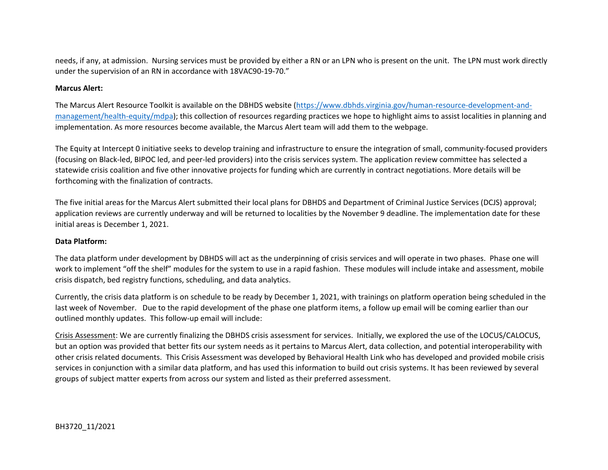needs, if any, at admission. Nursing services must be provided by either a RN or an LPN who is present on the unit. The LPN must work directly under the supervision of an RN in accordance with 18VAC90-19-70."

### **Marcus Alert:**

The Marcus Alert Resource Toolkit is available on the DBHDS website [\(https://www.dbhds.virginia.gov/human-resource-development-and](https://www.dbhds.virginia.gov/human-resource-development-and-management/health-equity/mdpa)[management/health-equity/mdpa\)](https://www.dbhds.virginia.gov/human-resource-development-and-management/health-equity/mdpa); this collection of resources regarding practices we hope to highlight aims to assist localities in planning and implementation. As more resources become available, the Marcus Alert team will add them to the webpage.

The Equity at Intercept 0 initiative seeks to develop training and infrastructure to ensure the integration of small, community-focused providers (focusing on Black-led, BIPOC led, and peer-led providers) into the crisis services system. The application review committee has selected a statewide crisis coalition and five other innovative projects for funding which are currently in contract negotiations. More details will be forthcoming with the finalization of contracts.

The five initial areas for the Marcus Alert submitted their local plans for DBHDS and Department of Criminal Justice Services (DCJS) approval; application reviews are currently underway and will be returned to localities by the November 9 deadline. The implementation date for these initial areas is December 1, 2021.

## **Data Platform:**

The data platform under development by DBHDS will act as the underpinning of crisis services and will operate in two phases. Phase one will work to implement "off the shelf" modules for the system to use in a rapid fashion. These modules will include intake and assessment, mobile crisis dispatch, bed registry functions, scheduling, and data analytics.

Currently, the crisis data platform is on schedule to be ready by December 1, 2021, with trainings on platform operation being scheduled in the last week of November. Due to the rapid development of the phase one platform items, a follow up email will be coming earlier than our outlined monthly updates. This follow-up email will include:

Crisis Assessment: We are currently finalizing the DBHDS crisis assessment for services. Initially, we explored the use of the LOCUS/CALOCUS, but an option was provided that better fits our system needs as it pertains to Marcus Alert, data collection, and potential interoperability with other crisis related documents. This Crisis Assessment was developed by Behavioral Health Link who has developed and provided mobile crisis services in conjunction with a similar data platform, and has used this information to build out crisis systems. It has been reviewed by several groups of subject matter experts from across our system and listed as their preferred assessment.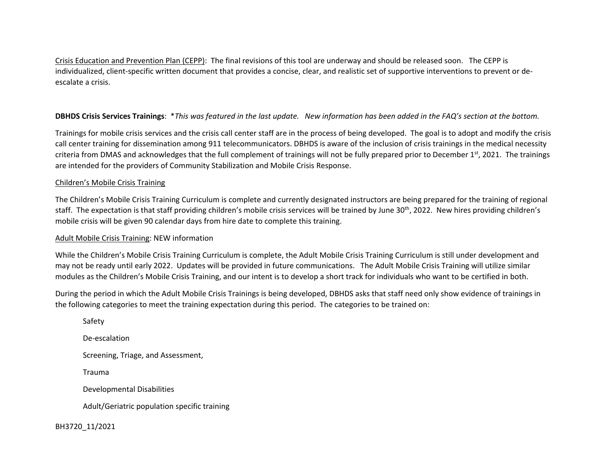Crisis Education and Prevention Plan (CEPP): The final revisions of this tool are underway and should be released soon. The CEPP is individualized, client-specific written document that provides a concise, clear, and realistic set of supportive interventions to prevent or deescalate a crisis.

## **DBHDS Crisis Services Trainings**: \**This was featured in the last update. New information has been added in the FAQ's section at the bottom.*

Trainings for mobile crisis services and the crisis call center staff are in the process of being developed. The goal is to adopt and modify the crisis call center training for dissemination among 911 telecommunicators. DBHDS is aware of the inclusion of crisis trainings in the medical necessity criteria from DMAS and acknowledges that the full complement of trainings will not be fully prepared prior to December  $1<sup>st</sup>$ , 2021. The trainings are intended for the providers of Community Stabilization and Mobile Crisis Response.

#### Children's Mobile Crisis Training

The Children's Mobile Crisis Training Curriculum is complete and currently designated instructors are being prepared for the training of regional staff. The expectation is that staff providing children's mobile crisis services will be trained by June 30<sup>th</sup>, 2022. New hires providing children's mobile crisis will be given 90 calendar days from hire date to complete this training.

#### Adult Mobile Crisis Training: NEW information

While the Children's Mobile Crisis Training Curriculum is complete, the Adult Mobile Crisis Training Curriculum is still under development and may not be ready until early 2022. Updates will be provided in future communications. The Adult Mobile Crisis Training will utilize similar modules as the Children's Mobile Crisis Training, and our intent is to develop a short track for individuals who want to be certified in both.

During the period in which the Adult Mobile Crisis Trainings is being developed, DBHDS asks that staff need only show evidence of trainings in the following categories to meet the training expectation during this period. The categories to be trained on:

Safety De-escalation Screening, Triage, and Assessment, Trauma Developmental Disabilities Adult/Geriatric population specific training